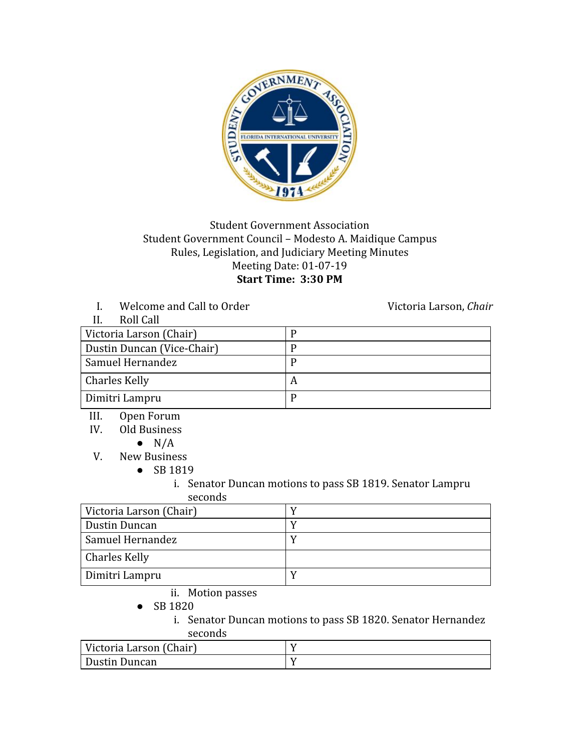

## Student Government Association Student Government Council – Modesto A. Maidique Campus Rules, Legislation, and Judiciary Meeting Minutes Meeting Date: 01-07-19 **Start Time: 3:30 PM**

I. Welcome and Call to Order Victoria Larson, *Chair* 

| Roll Call                  |   |
|----------------------------|---|
| Victoria Larson (Chair)    |   |
| Dustin Duncan (Vice-Chair) |   |
| Samuel Hernandez           |   |
| <b>Charles Kelly</b>       | A |
| Dimitri Lampru             |   |

- III. Open Forum
- IV. Old Business
	- $\bullet$  N/A
- V. New Business
	- SB 1819
		- i. Senator Duncan motions to pass SB 1819. Senator Lampru seconds

| Victoria Larson (Chair) |  |
|-------------------------|--|
| Dustin Duncan           |  |
| <b>Samuel Hernandez</b> |  |
| Charles Kelly           |  |
| Dimitri Lampru          |  |

- ii. Motion passes
- SB 1820
	- i. Senator Duncan motions to pass SB 1820. Senator Hernandez seconds

| Victoria Larson (Chair) |  |
|-------------------------|--|
| Dustin Duncan           |  |